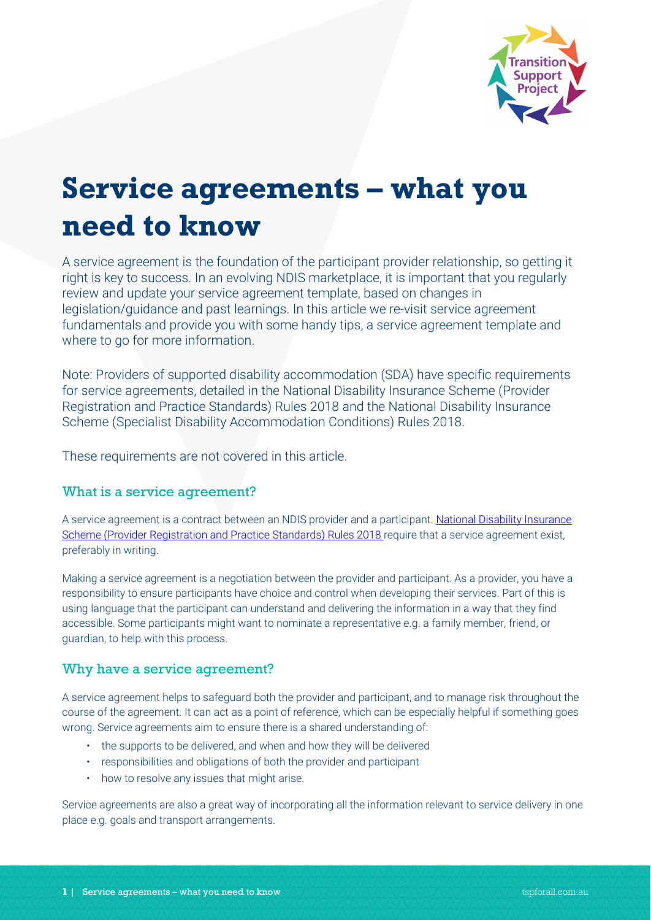

# **Service agreements – what you need to know**

A service agreement is the foundation of the participant provider relationship, so getting it right is key to success. In an evolving NDIS marketplace, it is important that you regularly review and update your service agreement template, based on changes in legislation/guidance and past learnings. In this article we re-visit service agreement fundamentals and provide you with some handy tips, a service agreement template and where to go for more information.

Note: Providers of supported disability accommodation (SDA) have specific requirements for service agreements, detailed in the [National Disability Insurance Scheme \(Provider](https://www.ndiscommission.gov.au/about/legislation-rules-policies)  [Registration and Practice Standards\) Rules 2018](https://www.ndiscommission.gov.au/about/legislation-rules-policies) and the [National Disability Insurance](https://www.ndiscommission.gov.au/about/legislation-rules-policies)  [Scheme \(Specialist Disability Accommodation Conditions\) Rules 2018.](https://www.ndiscommission.gov.au/about/legislation-rules-policies)

These requirements are not covered in this article.

# What is a service agreement?

A service agreement is a contract between an NDIS provider and a participant. National Disability Insurance [Scheme \(Provider Registration and Practice Standards\) Rules 2018](https://www.ndiscommission.gov.au/about/legislation-rules-policies) require that a service agreement exist, preferably in writing.

Making a service agreement is a negotiation between the provider and participant. As a provider, you have a responsibility to ensure participants have choice and control when developing their services. Part of this is using language that the participant can understand and delivering the information in a way that they find accessible. Some participants might want to nominate a representative e.g. a family member, friend, or guardian, to help with this process.

# Why have a service agreement?

A service agreement helps to safeguard both the provider and participant, and to manage risk throughout the course of the agreement. It can act as a point of reference, which can be especially helpful if something goes wrong. Service agreements aim to ensure there is a shared understanding of:

- the supports to be delivered, and when and how they will be delivered
- responsibilities and obligations of both the provider and participant
- how to resolve any issues that might arise.

Service agreements are also a great way of incorporating all the information relevant to service delivery in one place e.g. goals and transport arrangements.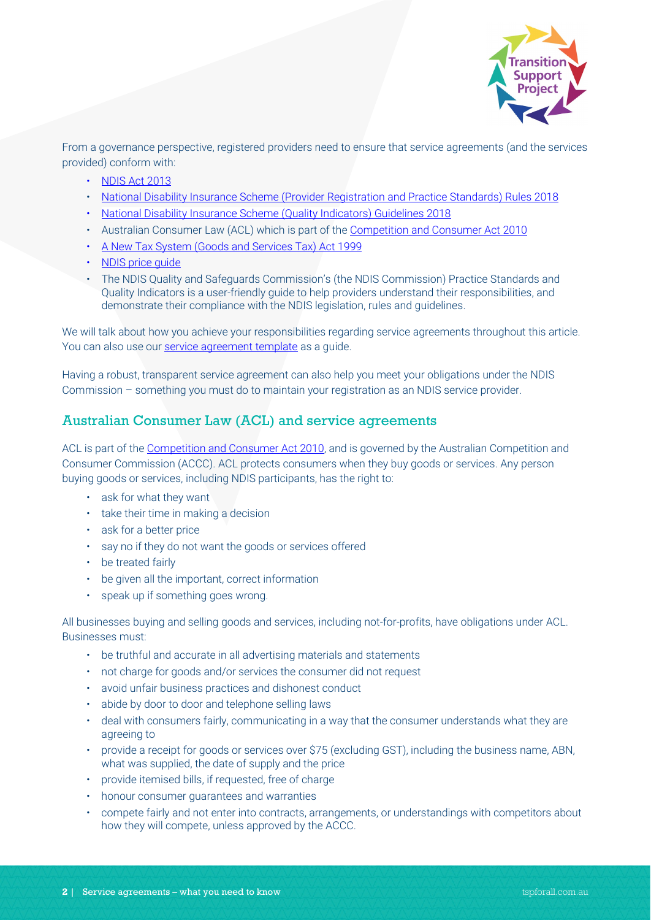

From a governance perspective, registered providers need to ensure that service agreements (and the services provided) conform with:

- [NDIS Act 2013](https://www.ndiscommission.gov.au/about/legislation-rules-policies)
- [National Disability Insurance Scheme \(Provider Registration and Practice Standards\) Rules 2018](https://www.ndiscommission.gov.au/about/legislation-rules-policies)
- [National Disability Insurance Scheme \(Quality Indicators\) Guidelines 2018](https://www.ndiscommission.gov.au/about/legislation-rules-policies)
- Australian Consumer Law (ACL) which is part of th[e Competition and Consumer Act 2010](https://www.legislation.gov.au/Series/C2004A00109)
- [A New Tax System \(Goods and Services Tax\)](https://www.legislation.gov.au/Series/C2004A00446) Act 1999
- NDIS price quide
- [The NDIS Quality and Safeguards Commission's \(the NDIS Commission\) Practice Standards and](https://www.ndiscommission.gov.au/document/986)  [Quality Indicators](https://www.ndiscommission.gov.au/document/986) is a user-friendly guide to help providers understand their responsibilities, and demonstrate their compliance with the NDIS legislation, rules and guidelines.

We will talk about how you achieve your responsibilities regarding service agreements throughout this article. You can also use ou[r service agreement template](https://www.tspforall.com.au/download/15) as a guide.

Having a robust, transparent service agreement can also help you meet your obligations under the NDIS Commission – something you must do to maintain your registration as an NDIS service provider.

# Australian Consumer Law (ACL) and service agreements

ACL is part of th[e Competition and Consumer Act 2010,](https://www.legislation.gov.au/Series/C2004A00109) and is governed by the Australian Competition and Consumer Commission (ACCC). ACL protects consumers when they buy goods or services. Any person buying goods or services, including NDIS participants, has the right to:

- ask for what they want
- take their time in making a decision
- ask for a better price
- say no if they do not want the goods or services offered
- be treated fairly
- be given all the important, correct information
- speak up if something goes wrong.

All businesses buying and selling goods and services, including not-for-profits, have obligations under ACL. Businesses must:

- be truthful and accurate in all advertising materials and statements
- not charge for goods and/or services the consumer did not request
- avoid unfair business practices and dishonest conduct
- abide by door to door and telephone selling laws
- deal with consumers fairly, communicating in a way that the consumer understands what they are agreeing to
- provide a receipt for goods or services over \$75 (excluding GST), including the business name, ABN, what was supplied, the date of supply and the price
- provide itemised bills, if requested, free of charge
- honour consumer guarantees and warranties
- compete fairly and not enter into contracts, arrangements, or understandings with competitors about how they will compete, unless approved by the ACCC.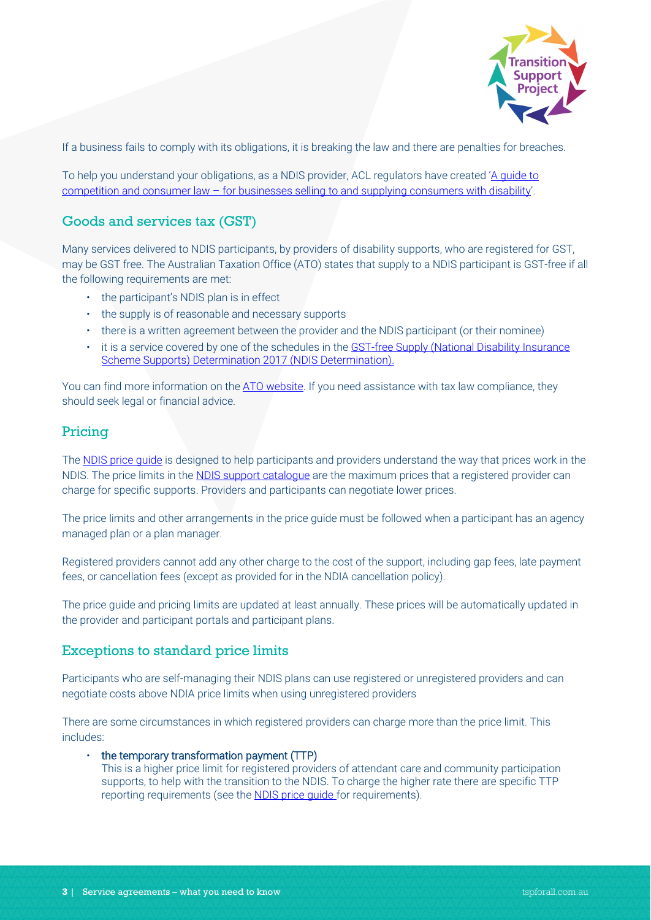

If a business fails to comply with its obligations, it is breaking the law and there are penalties for breaches.

To help you understand your obligations, as a NDIS provider, ACL regulators have created 'A quide to competition and consumer law – [for businesses selling to and supplying consumers with disability'.](https://www.accc.gov.au/system/files/1543_A%20guide%20to%20competition%20and%20consumer%20law_FA3.pdf)

# Goods and services tax (GST)

Many services delivered to NDIS participants, by providers of disability supports, who are registered for GST, may be GST free. The Australian Taxation Office (ATO) states that supply to a NDIS participant is GST-free if all the following requirements are met:

- the participant's NDIS plan is in effect
- the supply is of reasonable and necessary supports
- there is a written agreement between the provider and the NDIS participant (or their nominee)
- it is a service covered by one of the schedules in the [GST-free Supply \(National Disability Insurance](https://www.legislation.gov.au/Series/F2017L00734)  [Scheme Supports\) Determination 2017](https://www.legislation.gov.au/Series/F2017L00734) (NDIS Determination).

You can find more information on the [ATO website.](https://www.ato.gov.au/business/gst/in-detail/your-industry/gst-and-health/?page=6) If you need assistance with tax law compliance, they should seek legal or financial advice.

# Pricing

The NDIS price quide is designed to help participants and providers understand the way that prices work in the NDIS. The price limits in th[e NDIS support catalogue](https://www.ndis.gov.au/providers/price-guides-and-pricing) are the maximum prices that a registered provider can charge for specific supports. Providers and participants can negotiate lower prices.

The price limits and other arrangements in the price guide must be followed when a participant has an agency managed plan or a plan manager.

Registered providers cannot add any other charge to the cost of the support, including gap fees, late payment fees, or cancellation fees (except as provided for in the NDIA cancellation policy).

The price guide and pricing limits are updated at least annually. These prices will be automatically updated in the provider and participant portals and participant plans.

# Exceptions to standard price limits

Participants who are self-managing their NDIS plans can use registered or unregistered providers and can negotiate costs above NDIA price limits when using unregistered providers

There are some circumstances in which registered providers can charge more than the price limit. This includes:

- the temporary transformation payment (TTP)
	- This is a higher price limit for registered providers of attendant care and community participation supports, to help with the transition to the NDIS. To charge the higher rate there are specific TTP reporting requirements (see the **NDIS price guide** for requirements).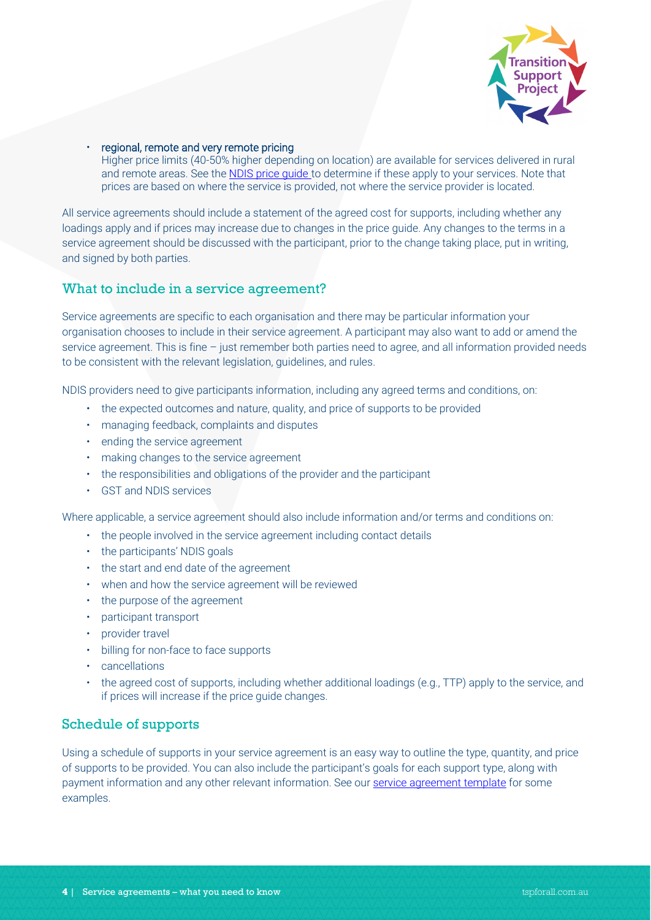

• regional, remote and very remote pricing

Higher price limits (40-50% higher depending on location) are available for services delivered in rural and remote areas. See th[e NDIS price guide](https://www.ndis.gov.au/providers/price-guides-and-pricing) to determine if these apply to your services. Note that prices are based on where the service is provided, not where the service provider is located.

All service agreements should include a statement of the agreed cost for supports, including whether any loadings apply and if prices may increase due to changes in the price guide. Any changes to the terms in a service agreement should be discussed with the participant, prior to the change taking place, put in writing, and signed by both parties.

#### What to include in a service agreement?

Service agreements are specific to each organisation and there may be particular information your organisation chooses to include in their service agreement. A participant may also want to add or amend the service agreement. This is fine – just remember both parties need to agree, and all information provided needs to be consistent with the relevant legislation, guidelines, and rules.

NDIS providers need to give participants information, including any agreed terms and conditions, on:

- the expected outcomes and nature, quality, and price of supports to be provided
- managing feedback, complaints and disputes
- ending the service agreement
- making changes to the service agreement
- the responsibilities and obligations of the provider and the participant
- GST and NDIS services

Where applicable, a service agreement should also include information and/or terms and conditions on:

- the people involved in the service agreement including contact details
- the participants' NDIS goals
- the start and end date of the agreement
- when and how the service agreement will be reviewed
- the purpose of the agreement
- participant transport
- provider travel
- billing for non-face to face supports
- cancellations
- the agreed cost of supports, including whether additional loadings (e.g., TTP) apply to the service, and if prices will increase if the price guide changes.

#### Schedule of supports

Using a schedule of supports in your service agreement is an easy way to outline the type, quantity, and price of supports to be provided. You can also include the participant's goals for each support type, along with payment information and any other relevant information. See ou[r service agreement template](https://www.tspforall.com.au/download/15) for some examples.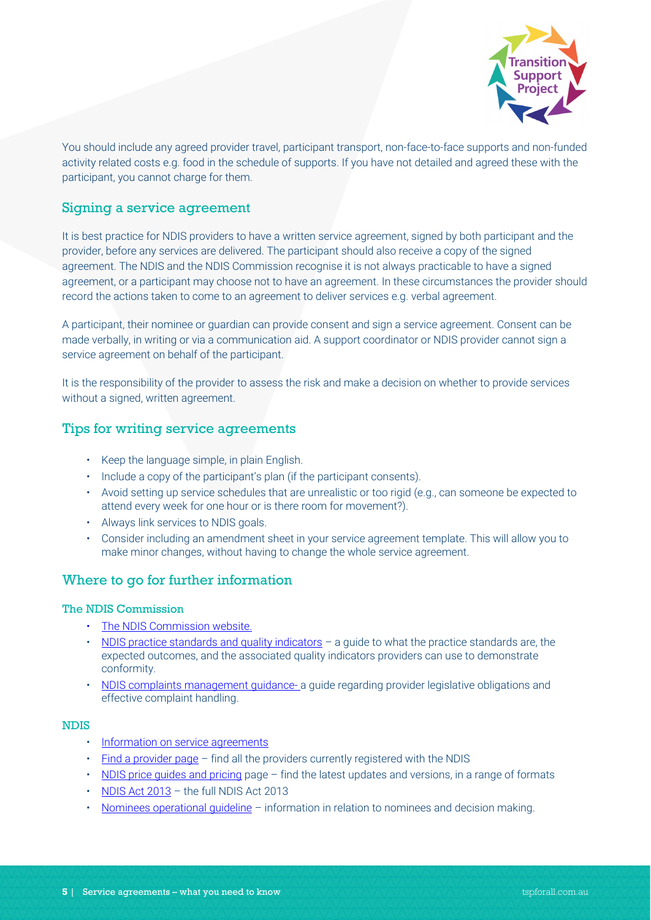

You should include any agreed provider travel, participant transport, non-face-to-face supports and non-funded activity related costs e.g. food in the schedule of supports. If you have not detailed and agreed these with the participant, you cannot charge for them.

# Signing a service agreement

It is best practice for NDIS providers to have a written service agreement, signed by both participant and the provider, before any services are delivered. The participant should also receive a copy of the signed agreement. The NDIS and the NDIS Commission recognise it is not always practicable to have a signed agreement, or a participant may choose not to have an agreement. In these circumstances the provider should record the actions taken to come to an agreement to deliver services e.g. verbal agreement.

A participant, their nominee or guardian can provide consent and sign a service agreement. Consent can be made verbally, in writing or via a communication aid. A support coordinator or NDIS provider cannot sign a service agreement on behalf of the participant.

It is the responsibility of the provider to assess the risk and make a decision on whether to provide services without a signed, written agreement.

# Tips for writing service agreements

- Keep the language simple, in plain English.
- Include a copy of the participant's plan (if the participant consents).
- Avoid setting up service schedules that are unrealistic or too rigid (e.g., can someone be expected to attend every week for one hour or is there room for movement?).
- Always link services to NDIS goals.
- Consider including an amendment sheet in your service agreement template. This will allow you to make minor changes, without having to change the whole service agreement.

#### Where to go for further information

#### The NDIS Commission

- [The NDIS Commission website.](https://www.ndiscommission.gov.au/)
- [NDIS practice standards and quality indicators](https://www.ndiscommission.gov.au/document/986) a guide to what the practice standards are, the expected outcomes, and the associated quality indicators providers can use to demonstrate conformity.
- [NDIS complaints management guidance-](https://www.ndiscommission.gov.au/providers/complaints-management) a guide regarding provider legislative obligations and effective complaint handling.

#### NDIS

- [Information on service agreements](https://www.ndis.gov.au/providers/working-provider/connecting-participants/service-agreements)
- [Find a provider page](https://www.ndis.gov.au/participants/working-providers/find-registered-provider#provider-lists) find all the providers currently registered with the NDIS
- [NDIS price guides and pricing](https://www.ndis.gov.au/providers/price-guides-and-pricing) page find the latest updates and versions, in a range of formats
- [NDIS Act 2013](https://www.ndiscommission.gov.au/about/legislation-rules-policies) the full NDIS Act 2013
- [Nominees operational guideline](https://www.ndis.gov.au/about-us/operational-guidelines/nominees-operational-guideline/nominees-operational-guideline-overview) information in relation to nominees and decision making.